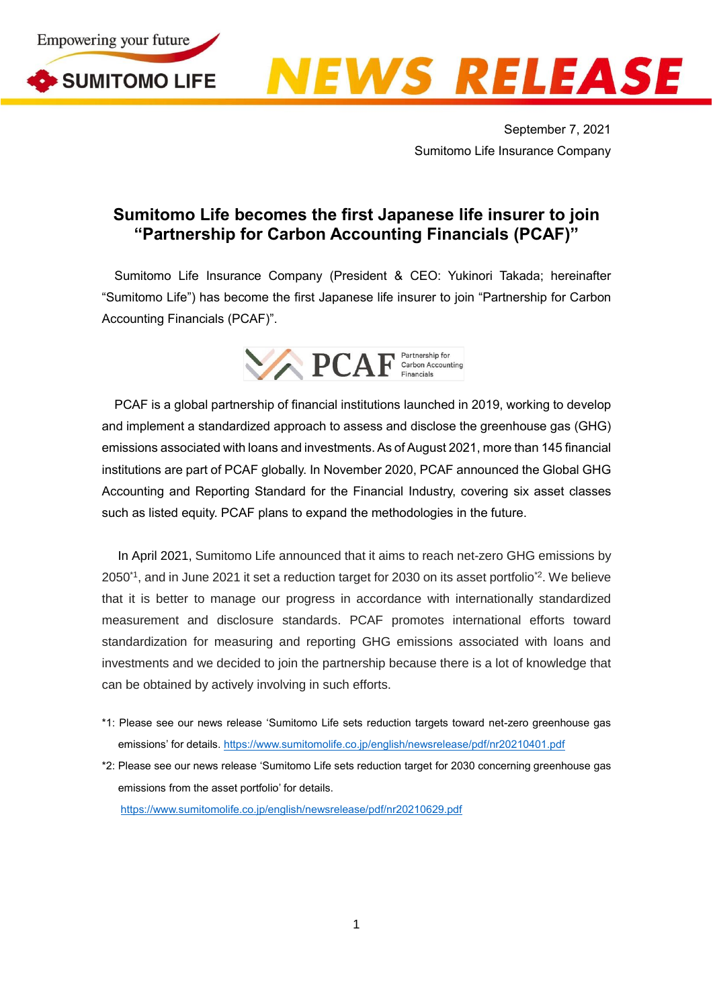





September 7, 2021 Sumitomo Life Insurance Company

## **Sumitomo Life becomes the first Japanese life insurer to join "Partnership for Carbon Accounting Financials (PCAF)"**

Sumitomo Life Insurance Company (President & CEO: Yukinori Takada; hereinafter "Sumitomo Life") has become the first Japanese life insurer to join "Partnership for Carbon Accounting Financials (PCAF)".



PCAF is a global partnership of financial institutions launched in 2019, working to develop and implement a standardized approach to assess and disclose the greenhouse gas (GHG) emissions associated with loans and investments.As of August 2021, more than 145 financial institutions are part of PCAF globally. In November 2020, PCAF announced the Global GHG Accounting and Reporting Standard for the Financial Industry, covering six asset classes such as listed equity. PCAF plans to expand the methodologies in the future.

In April 2021, Sumitomo Life announced that it aims to reach net-zero GHG emissions by 2050\*1 , and in June 2021 it set a reduction target for 2030 on its asset portfolio\*2 . We believe that it is better to manage our progress in accordance with internationally standardized measurement and disclosure standards. PCAF promotes international efforts toward standardization for measuring and reporting GHG emissions associated with loans and investments and we decided to join the partnership because there is a lot of knowledge that can be obtained by actively involving in such efforts.

- \*1: Please see our news release 'Sumitomo Life sets reduction targets toward net-zero greenhouse gas emissions' for details[. https://www.sumitomolife.co.jp/english/newsrelease/pdf/nr20210401.pdf](https://www.sumitomolife.co.jp/english/newsrelease/pdf/nr20210401.pdf)
- \*2: Please see our news release 'Sumitomo Life sets reduction target for 2030 concerning greenhouse gas emissions from the asset portfolio' for details. https://www.sumitomolife.co.jp/english/newsrelease/pdf/nr20210629.pdf